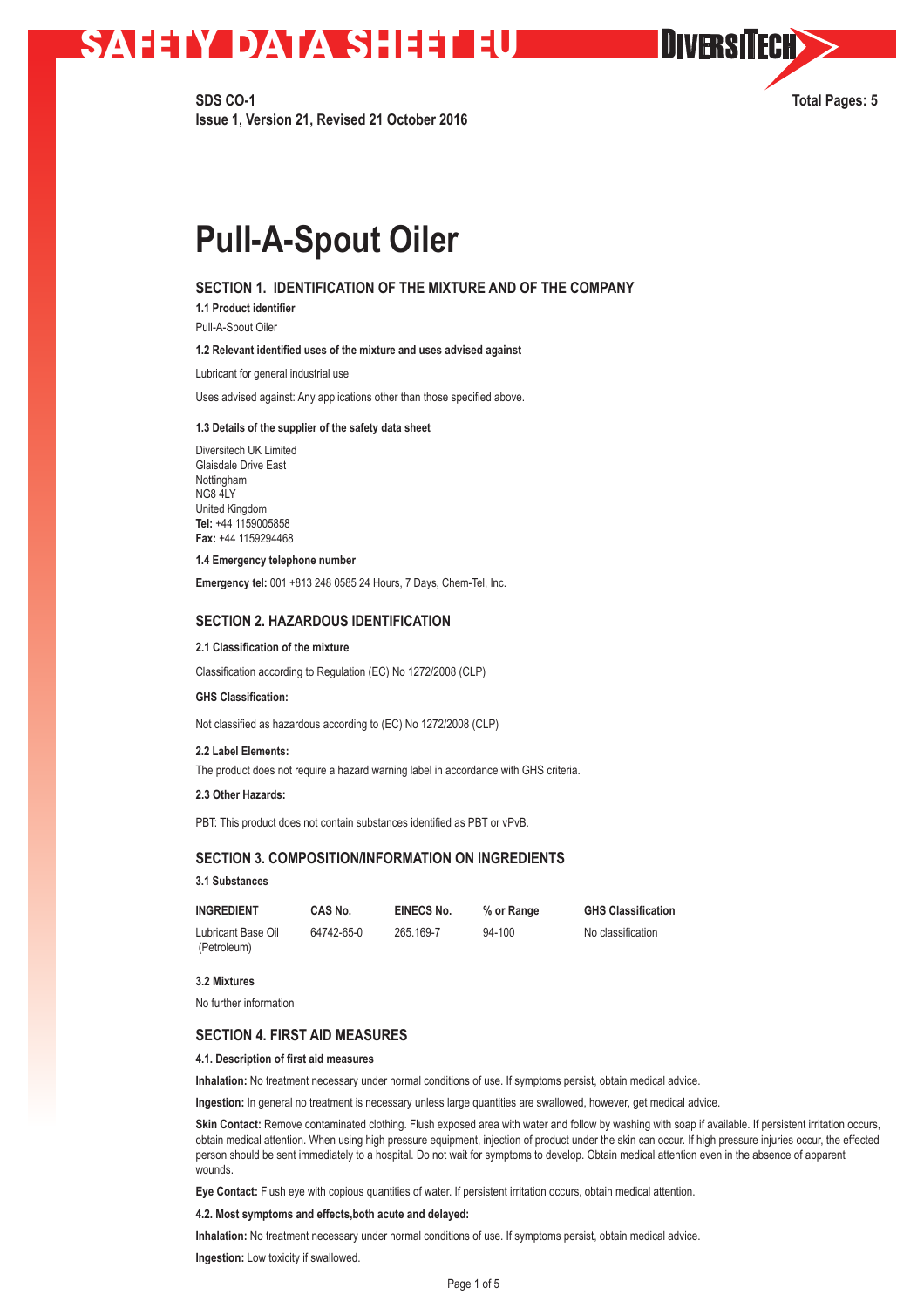**SDS CO-1 Total Pages: 5 Issue 1, Version 21, Revised 21 October 2016**

**OIVERSITECH** 

# **Pull-A-Spout Oiler**

### **SECTION 1. IDENTIFICATION OF THE MIXTURE AND OF THE COMPANY**

**1.1 Product identifier** 

Pull-A-Spout Oiler

### **1.2 Relevant identified uses of the mixture and uses advised against**

Lubricant for general industrial use

Uses advised against: Any applications other than those specified above.

#### **1.3 Details of the supplier of the safety data sheet**

Diversitech UK Limited Glaisdale Drive East Nottingham NG8 4LY United Kingdom **Tel:** +44 1159005858 **Fax:** +44 1159294468

#### **1.4 Emergency telephone number**

**Emergency tel:** 001 +813 248 0585 24 Hours, 7 Days, Chem-Tel, Inc.

# **SECTION 2. HAZARDOUS IDENTIFICATION**

#### **2.1 Classification of the mixture**

Classification according to Regulation (EC) No 1272/2008 (CLP)

#### **GHS Classification:**

Not classified as hazardous according to (EC) No 1272/2008 (CLP)

#### **2.2 Label Elements:**

The product does not require a hazard warning label in accordance with GHS criteria.

### **2.3 Other Hazards:**

PBT: This product does not contain substances identified as PBT or vPvB.

# **SECTION 3. COMPOSITION/INFORMATION ON INGREDIENTS**

#### **3.1 Substances**

| <b>INGREDIENT</b>  | CAS No.    | EINECS No. | % or Range | <b>GHS Classification</b> |
|--------------------|------------|------------|------------|---------------------------|
| Lubricant Base Oil | 64742-65-0 | 265.169-7  | $94 - 100$ | No classification         |
| (Petroleum)        |            |            |            |                           |

### **3.2 Mixtures**

No further information

## **SECTION 4. FIRST AID MEASURES**

#### **4.1. Description of first aid measures**

**Inhalation:** No treatment necessary under normal conditions of use. If symptoms persist, obtain medical advice.

**Ingestion:** In general no treatment is necessary unless large quantities are swallowed, however, get medical advice.

Skin Contact: Remove contaminated clothing. Flush exposed area with water and follow by washing with soap if available. If persistent irritation occurs, obtain medical attention. When using high pressure equipment, injection of product under the skin can occur. If high pressure injuries occur, the effected person should be sent immediately to a hospital. Do not wait for symptoms to develop. Obtain medical attention even in the absence of apparent wounds.

**Eye Contact:** Flush eye with copious quantities of water. If persistent irritation occurs, obtain medical attention.

#### **4.2. Most symptoms and effects,both acute and delayed:**

**Inhalation:** No treatment necessary under normal conditions of use. If symptoms persist, obtain medical advice.

**Ingestion:** Low toxicity if swallowed.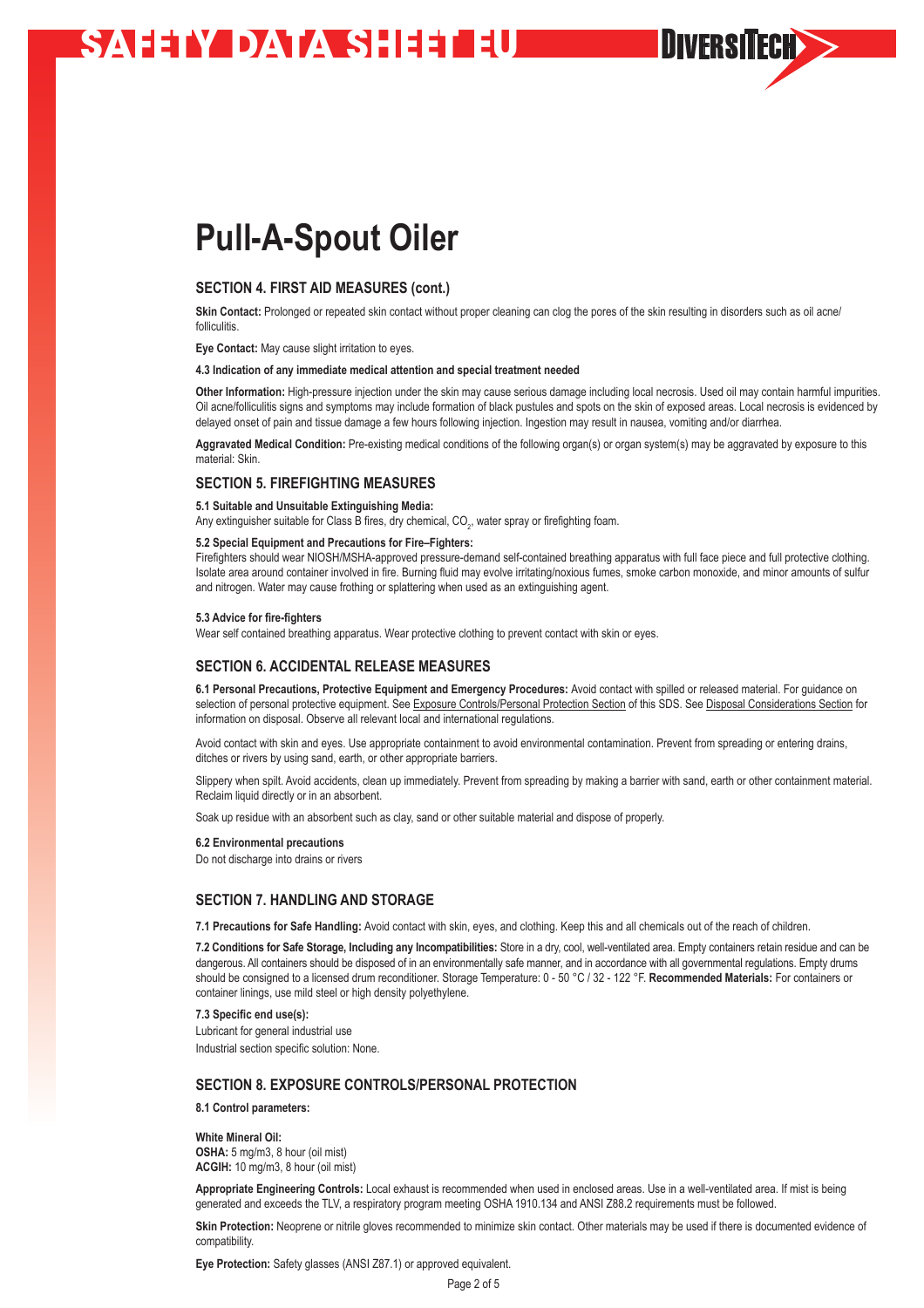# **Pull-A-Spout Oiler**

# **SECTION 4. FIRST AID MEASURES (cont.)**

Skin Contact: Prolonged or repeated skin contact without proper cleaning can clog the pores of the skin resulting in disorders such as oil acne/ folliculitis.

**Eye Contact:** May cause slight irritation to eyes.

#### **4.3 Indication of any immediate medical attention and special treatment needed**

**Other Information:** High-pressure injection under the skin may cause serious damage including local necrosis. Used oil may contain harmful impurities. Oil acne/folliculitis signs and symptoms may include formation of black pustules and spots on the skin of exposed areas. Local necrosis is evidenced by delayed onset of pain and tissue damage a few hours following injection. Ingestion may result in nausea, vomiting and/or diarrhea

**DIVERSITECH>>** 

**Aggravated Medical Condition:** Pre-existing medical conditions of the following organ(s) or organ system(s) may be aggravated by exposure to this material: Skin.

#### **SECTION 5. FIREFIGHTING MEASURES**

#### **5.1 Suitable and Unsuitable Extinguishing Media:**

Any extinguisher suitable for Class B fires, dry chemical, CO<sub>2</sub>, water spray or firefighting foam.

#### **5.2 Special Equipment and Precautions for Fire–Fighters:**

Firefighters should wear NIOSH/MSHA-approved pressure-demand self-contained breathing apparatus with full face piece and full protective clothing. Isolate area around container involved in fire. Burning fluid may evolve irritating/noxious fumes, smoke carbon monoxide, and minor amounts of sulfur and nitrogen. Water may cause frothing or splattering when used as an extinguishing agent.

#### **5.3 Advice for fire-fighters**

Wear self contained breathing apparatus. Wear protective clothing to prevent contact with skin or eyes.

### **SECTION 6. ACCIDENTAL RELEASE MEASURES**

**6.1 Personal Precautions, Protective Equipment and Emergency Procedures:** Avoid contact with spilled or released material. For guidance on selection of personal protective equipment. See Exposure Controls/Personal Protection Section of this SDS. See Disposal Considerations Section for information on disposal. Observe all relevant local and international regulations.

Avoid contact with skin and eyes. Use appropriate containment to avoid environmental contamination. Prevent from spreading or entering drains, ditches or rivers by using sand, earth, or other appropriate barriers.

Slippery when spilt. Avoid accidents, clean up immediately. Prevent from spreading by making a barrier with sand, earth or other containment material. Reclaim liquid directly or in an absorbent.

Soak up residue with an absorbent such as clay, sand or other suitable material and dispose of properly.

#### **6.2 Environmental precautions**

Do not discharge into drains or rivers

# **SECTION 7. HANDLING AND STORAGE**

**7.1 Precautions for Safe Handling:** Avoid contact with skin, eyes, and clothing. Keep this and all chemicals out of the reach of children.

**7.2 Conditions for Safe Storage, Including any Incompatibilities:** Store in a dry, cool, well-ventilated area. Empty containers retain residue and can be dangerous. All containers should be disposed of in an environmentally safe manner, and in accordance with all governmental regulations. Empty drums should be consigned to a licensed drum reconditioner. Storage Temperature: 0 - 50 °C / 32 - 122 °F. **Recommended Materials:** For containers or container linings, use mild steel or high density polyethylene.

**7.3 Specific end use(s):**

Lubricant for general industrial use Industrial section specific solution: None.

# **SECTION 8. EXPOSURE CONTROLS/PERSONAL PROTECTION**

**8.1 Control parameters:**

**White Mineral Oil: OSHA:** 5 mg/m3, 8 hour (oil mist) **ACGIH:** 10 mg/m3, 8 hour (oil mist)

**Appropriate Engineering Controls:** Local exhaust is recommended when used in enclosed areas. Use in a well-ventilated area. If mist is being generated and exceeds the TLV, a respiratory program meeting OSHA 1910.134 and ANSI Z88.2 requirements must be followed.

**Skin Protection:** Neoprene or nitrile gloves recommended to minimize skin contact. Other materials may be used if there is documented evidence of compatibility.

**Eye Protection:** Safety glasses (ANSI Z87.1) or approved equivalent.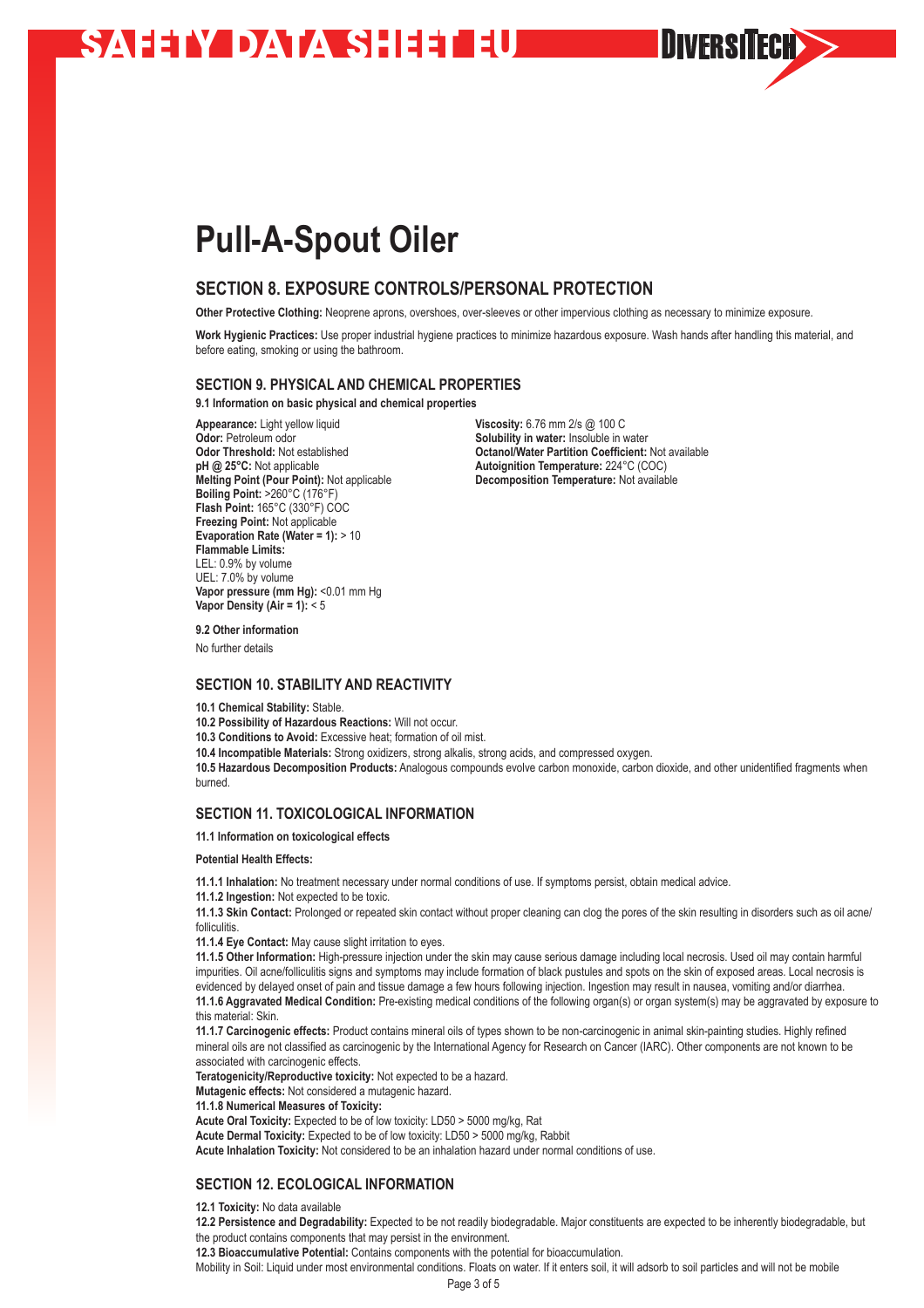# **Pull-A-Spout Oiler**

# **SECTION 8. EXPOSURE CONTROLS/PERSONAL PROTECTION**

**Other Protective Clothing:** Neoprene aprons, overshoes, over-sleeves or other impervious clothing as necessary to minimize exposure.

**Work Hygienic Practices:** Use proper industrial hygiene practices to minimize hazardous exposure. Wash hands after handling this material, and before eating, smoking or using the bathroom.

# **SECTION 9. PHYSICAL AND CHEMICAL PROPERTIES**

**9.1 Information on basic physical and chemical properties**

**Odor:** Petroleum odor<br> **Odor Threshold:** Not established<br> **Solubility in water:** Insoluble in water<br> **Octanol/Water Partition Coefficient: pH @ 25°C:** Not applicable **Autoignition Temperature:** 224°C (COC)<br>**Melting Point (Pour Point):** Not applicable **Autor Decomposition Temperature:** Not availab **Boiling Point:** >260°C (176°F) **Flash Point:** 165°C (330°F) COC **Freezing Point:** Not applicable **Evaporation Rate (Water = 1):** > 10 **Flammable Limits:** LEL: 0.9% by volume UEL: 7.0% by volume **Vapor pressure (mm Hg):** <0.01 mm Hg **Vapor Density (Air = 1):** < 5

**Appearance:** Light yellow liquid<br> **Odor:** Petroleum odor<br> **Odor:** Petroleum odor **Odor Threshold:** Not established **Consumer Social Consumer Partition Coefficient:** Not available pH @ 25°C: Not applicable pH @ 25°C: Not applicable **Decomposition Temperature:** Not available

DIVERSITECH

**9.2 Other information**

No further details

#### **SECTION 10. STABILITY AND REACTIVITY**

**10.1 Chemical Stability:** Stable.

**10.2 Possibility of Hazardous Reactions:** Will not occur.

**10.3 Conditions to Avoid:** Excessive heat; formation of oil mist.

**10.4 Incompatible Materials:** Strong oxidizers, strong alkalis, strong acids, and compressed oxygen.

10.5 Hazardous Decomposition Products: Analogous compounds evolve carbon monoxide, carbon dioxide, and other unidentified fragments when burned.

# **SECTION 11. TOXICOLOGICAL INFORMATION**

**11.1 Information on toxicological effects** 

**Potential Health Effects:**

**11.1.1 Inhalation:** No treatment necessary under normal conditions of use. If symptoms persist, obtain medical advice.

**11.1.2 Ingestion:** Not expected to be toxic.

**11.1.3 Skin Contact:** Prolonged or repeated skin contact without proper cleaning can clog the pores of the skin resulting in disorders such as oil acne/ folliculitis.

**11.1.4 Eye Contact:** May cause slight irritation to eyes.

**11.1.5 Other Information:** High-pressure injection under the skin may cause serious damage including local necrosis. Used oil may contain harmful impurities. Oil acne/folliculitis signs and symptoms may include formation of black pustules and spots on the skin of exposed areas. Local necrosis is evidenced by delayed onset of pain and tissue damage a few hours following injection. Ingestion may result in nausea, vomiting and/or diarrhea. **11.1.6 Aggravated Medical Condition:** Pre-existing medical conditions of the following organ(s) or organ system(s) may be aggravated by exposure to this material: Skin.

**11.1.7 Carcinogenic effects:** Product contains mineral oils of types shown to be non-carcinogenic in animal skin-painting studies. Highly refined mineral oils are not classified as carcinogenic by the International Agency for Research on Cancer (IARC). Other components are not known to be associated with carcinogenic effects.

**Teratogenicity/Reproductive toxicity:** Not expected to be a hazard.

**Mutagenic effects:** Not considered a mutagenic hazard.

**11.1.8 Numerical Measures of Toxicity:**

**Acute Oral Toxicity:** Expected to be of low toxicity: LD50 > 5000 mg/kg, Rat

**Acute Dermal Toxicity:** Expected to be of low toxicity: LD50 > 5000 mg/kg, Rabbit

**Acute Inhalation Toxicity:** Not considered to be an inhalation hazard under normal conditions of use.

# **SECTION 12. ECOLOGICAL INFORMATION**

**12.1 Toxicity:** No data available

**12.2 Persistence and Degradability:** Expected to be not readily biodegradable. Major constituents are expected to be inherently biodegradable, but the product contains components that may persist in the environment.

**12.3 Bioaccumulative Potential:** Contains components with the potential for bioaccumulation.

Mobility in Soil: Liquid under most environmental conditions. Floats on water. If it enters soil, it will adsorb to soil particles and will not be mobile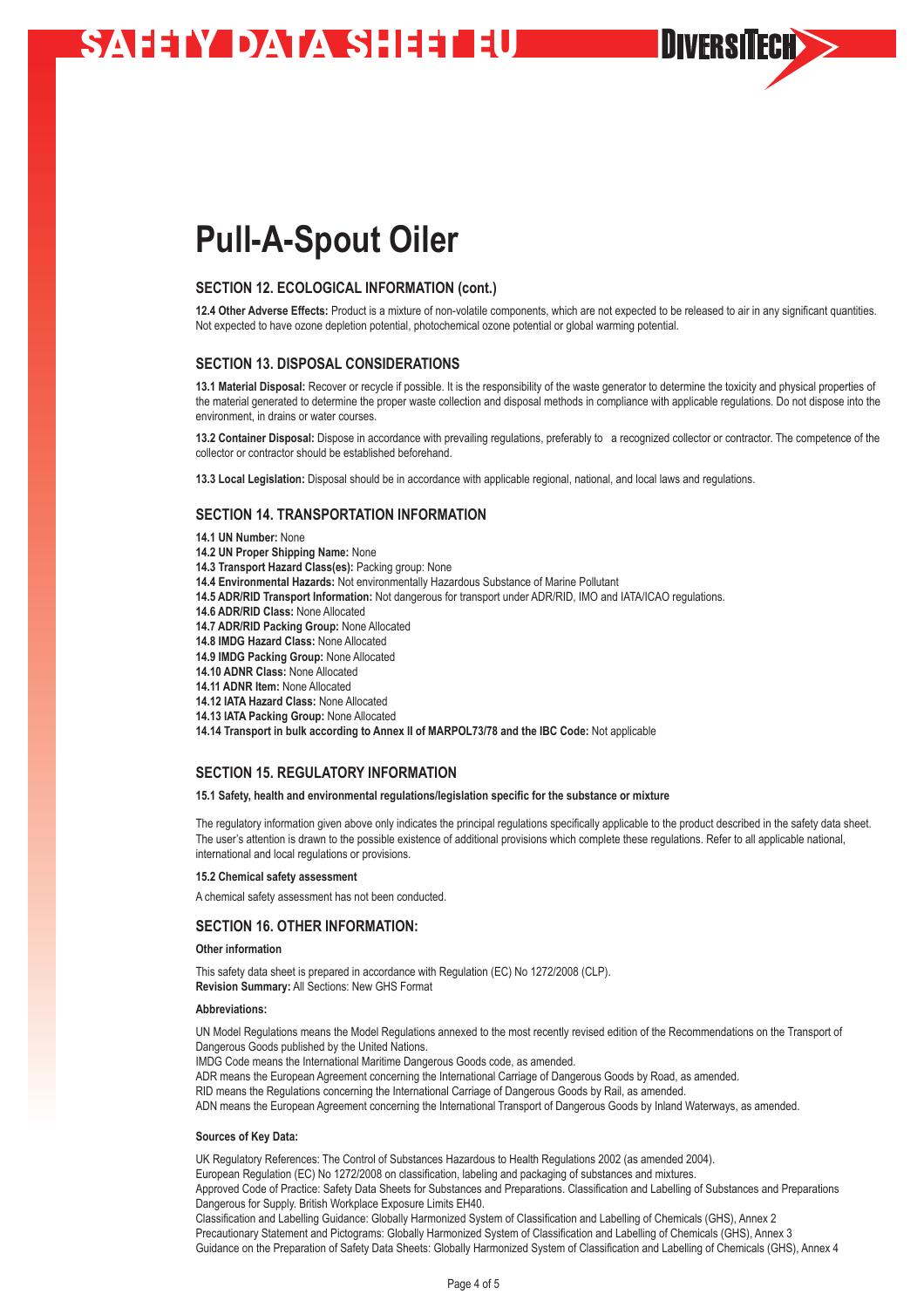# **Pull-A-Spout Oiler**

# **SECTION 12. ECOLOGICAL INFORMATION (cont.)**

**12.4 Other Adverse Effects:** Product is a mixture of non-volatile components, which are not expected to be released to air in any significant quantities. Not expected to have ozone depletion potential, photochemical ozone potential or global warming potential.

DIVERSITECH

# **SECTION 13. DISPOSAL CONSIDERATIONS**

**13.1 Material Disposal:** Recover or recycle if possible. It is the responsibility of the waste generator to determine the toxicity and physical properties of the material generated to determine the proper waste collection and disposal methods in compliance with applicable regulations. Do not dispose into the environment, in drains or water courses.

**13.2 Container Disposal:** Dispose in accordance with prevailing regulations, preferably to a recognized collector or contractor. The competence of the collector or contractor should be established beforehand.

**13.3 Local Legislation:** Disposal should be in accordance with applicable regional, national, and local laws and regulations.

#### **SECTION 14. TRANSPORTATION INFORMATION**

**14.1 UN Number:** None

- **14.2 UN Proper Shipping Name:** None
- **14.3 Transport Hazard Class(es):** Packing group: None
- **14.4 Environmental Hazards:** Not environmentally Hazardous Substance of Marine Pollutant
- **14.5 ADR/RID Transport Information:** Not dangerous for transport under ADR/RID, IMO and IATA/ICAO regulations.
- **14.6 ADR/RID Class:** None Allocated
- **14.7 ADR/RID Packing Group:** None Allocated
- **14.8 IMDG Hazard Class:** None Allocated
- **14.9 IMDG Packing Group:** None Allocated
- **14.10 ADNR Class:** None Allocated
- **14.11 ADNR Item:** None Allocated
- **14.12 IATA Hazard Class:** None Allocated
- **14.13 IATA Packing Group:** None Allocated

**14.14 Transport in bulk according to Annex II of MARPOL73/78 and the IBC Code:** Not applicable

# **SECTION 15. REGULATORY INFORMATION**

#### **15.1 Safety, health and environmental regulations/legislation specific for the substance or mixture**

The regulatory information given above only indicates the principal regulations specifically applicable to the product described in the safety data sheet. The user's attention is drawn to the possible existence of additional provisions which complete these regulations. Refer to all applicable national, international and local regulations or provisions.

#### **15.2 Chemical safety assessment**

A chemical safety assessment has not been conducted.

### **SECTION 16. OTHER INFORMATION:**

#### **Other information**

This safety data sheet is prepared in accordance with Regulation (EC) No 1272/2008 (CLP).

**Revision Summary:** All Sections: New GHS Format

### **Abbreviations:**

UN Model Regulations means the Model Regulations annexed to the most recently revised edition of the Recommendations on the Transport of Dangerous Goods published by the United Nations.

IMDG Code means the International Maritime Dangerous Goods code, as amended.

ADR means the European Agreement concerning the International Carriage of Dangerous Goods by Road, as amended.

RID means the Regulations concerning the International Carriage of Dangerous Goods by Rail, as amended.

ADN means the European Agreement concerning the International Transport of Dangerous Goods by Inland Waterways, as amended.

#### **Sources of Key Data:**

UK Regulatory References: The Control of Substances Hazardous to Health Regulations 2002 (as amended 2004).

European Regulation (EC) No 1272/2008 on classification, labeling and packaging of substances and mixtures.

Approved Code of Practice: Safety Data Sheets for Substances and Preparations. Classification and Labelling of Substances and Preparations Dangerous for Supply. British Workplace Exposure Limits EH40.

Classification and Labelling Guidance: Globally Harmonized System of Classification and Labelling of Chemicals (GHS), Annex 2 Precautionary Statement and Pictograms: Globally Harmonized System of Classification and Labelling of Chemicals (GHS), Annex 3 Guidance on the Preparation of Safety Data Sheets: Globally Harmonized System of Classification and Labelling of Chemicals (GHS), Annex 4